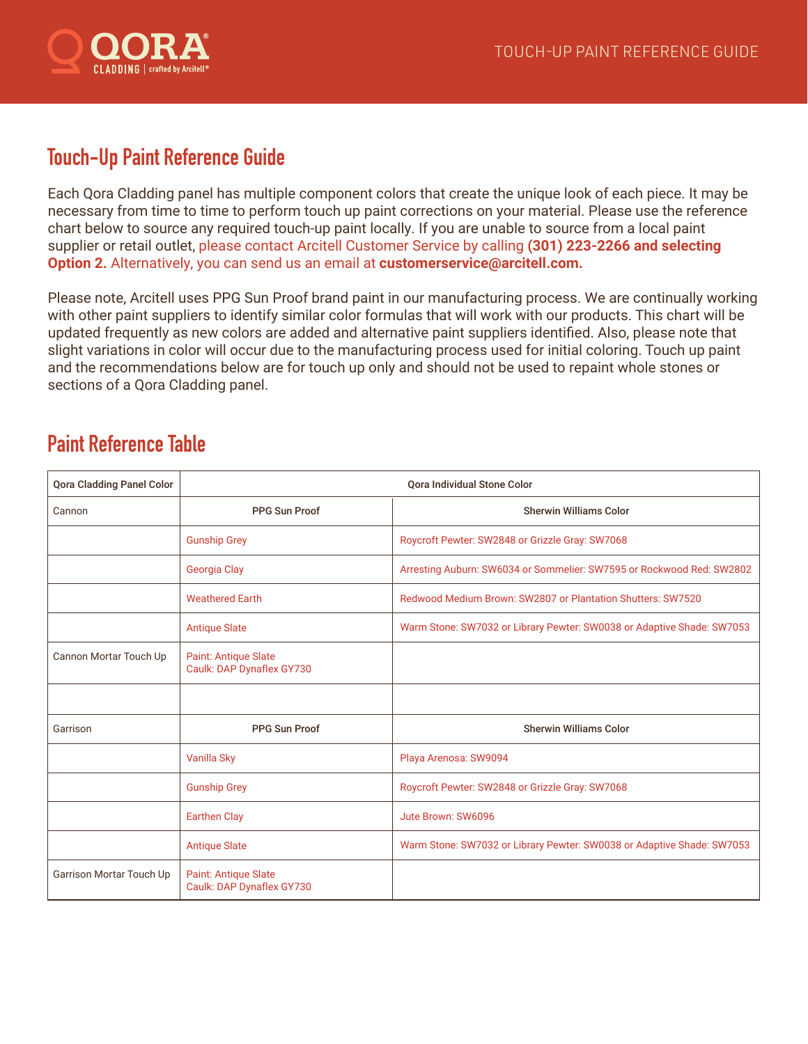

## **Touch-Up Paint Reference Guide**

Each Qora Cladding panel has multiple component colors that create the unique look of each piece. It may be necessary from time to time to perform touch up paint corrections on your material. Please use the reference chart below to source any required touch-up paint locally. If you are unable to source from a local paint supplier or retail outlet, please contact Arcitell Customer Service by calling **(301) 223-2266 and selecting Option 2.** Alternatively, you can send us an email at **customerservice@arcitell.com.**

Please note, Arcitell uses PPG Sun Proof brand paint in our manufacturing process. We are continually working with other paint suppliers to identify similar color formulas that will work with our products. This chart will be updated frequently as new colors are added and alternative paint suppliers identified. Also, please note that slight variations in color will occur due to the manufacturing process used for initial coloring. Touch up paint and the recommendations below are for touch up only and should not be used to repaint whole stones or sections of a Qora Cladding panel.

## **Paint Reference Table**

| <b>Qora Cladding Panel Color</b> | <b>Oora Individual Stone Color</b>                       |                                                                        |
|----------------------------------|----------------------------------------------------------|------------------------------------------------------------------------|
| Cannon                           | <b>PPG Sun Proof</b>                                     | <b>Sherwin Williams Color</b>                                          |
|                                  | <b>Gunship Grey</b>                                      | Roycroft Pewter: SW2848 or Grizzle Gray: SW7068                        |
|                                  | Georgia Clay                                             | Arresting Auburn: SW6034 or Sommelier: SW7595 or Rockwood Red: SW2802  |
|                                  | <b>Weathered Earth</b>                                   | Redwood Medium Brown: SW2807 or Plantation Shutters: SW7520            |
|                                  | <b>Antique Slate</b>                                     | Warm Stone: SW7032 or Library Pewter: SW0038 or Adaptive Shade: SW7053 |
| Cannon Mortar Touch Up           | <b>Paint: Antique Slate</b><br>Caulk: DAP Dynaflex GY730 |                                                                        |
|                                  |                                                          |                                                                        |
| Garrison                         | <b>PPG Sun Proof</b>                                     | <b>Sherwin Williams Color</b>                                          |
|                                  | Vanilla Sky                                              | Playa Arenosa: SW9094                                                  |
|                                  | <b>Gunship Grey</b>                                      | Roycroft Pewter: SW2848 or Grizzle Gray: SW7068                        |
|                                  | <b>Earthen Clay</b>                                      | Jute Brown: SW6096                                                     |
|                                  | <b>Antique Slate</b>                                     | Warm Stone: SW7032 or Library Pewter: SW0038 or Adaptive Shade: SW7053 |
| Garrison Mortar Touch Up         | Paint: Antique Slate<br>Caulk: DAP Dynaflex GY730        |                                                                        |